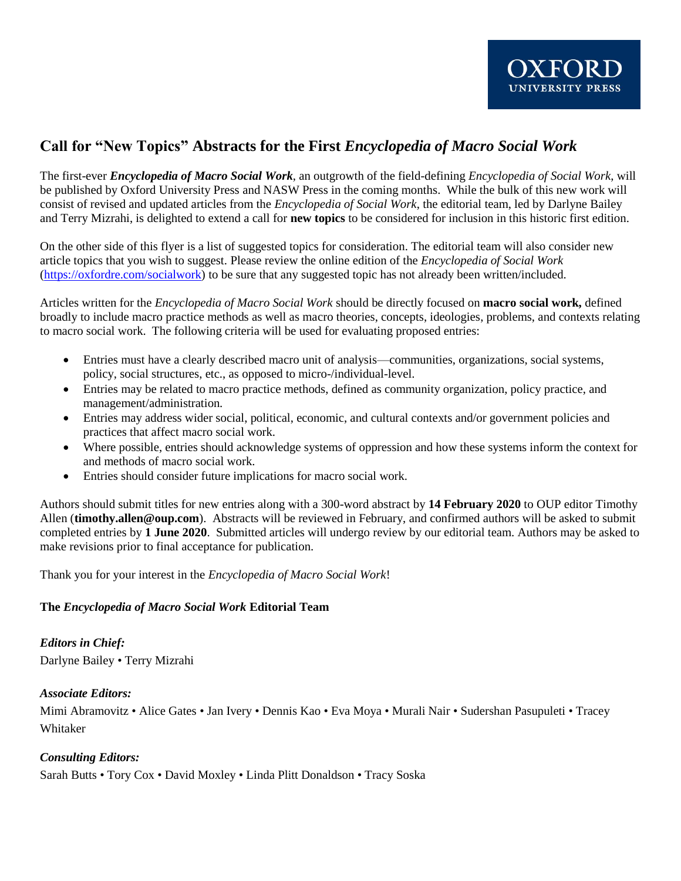# **Call for "New Topics" Abstracts for the First** *Encyclopedia of Macro Social Work*

The first-ever *Encyclopedia of Macro Social Work*, an outgrowth of the field-defining *Encyclopedia of Social Work*, will be published by Oxford University Press and NASW Press in the coming months. While the bulk of this new work will consist of revised and updated articles from the *Encyclopedia of Social Work*, the editorial team, led by Darlyne Bailey and Terry Mizrahi, is delighted to extend a call for **new topics** to be considered for inclusion in this historic first edition.

On the other side of this flyer is a list of suggested topics for consideration. The editorial team will also consider new article topics that you wish to suggest. Please review the online edition of the *Encyclopedia of Social Work* [\(https://oxfordre.com/socialwork\)](https://oxfordre.com/socialwork) to be sure that any suggested topic has not already been written/included.

Articles written for the *Encyclopedia of Macro Social Work* should be directly focused on **macro social work,** defined broadly to include macro practice methods as well as macro theories, concepts, ideologies, problems, and contexts relating to macro social work. The following criteria will be used for evaluating proposed entries:

- Entries must have a clearly described macro unit of analysis—communities, organizations, social systems, policy, social structures, etc., as opposed to micro-/individual-level.
- Entries may be related to macro practice methods, defined as community organization, policy practice, and management/administration.
- Entries may address wider social, political, economic, and cultural contexts and/or government policies and practices that affect macro social work.
- Where possible, entries should acknowledge systems of oppression and how these systems inform the context for and methods of macro social work.
- Entries should consider future implications for macro social work.

Authors should submit titles for new entries along with a 300-word abstract by **14 February 2020** to OUP editor Timothy Allen (**timothy.allen@oup.com**). Abstracts will be reviewed in February, and confirmed authors will be asked to submit completed entries by **1 June 2020**. Submitted articles will undergo review by our editorial team. Authors may be asked to make revisions prior to final acceptance for publication.

Thank you for your interest in the *Encyclopedia of Macro Social Work*!

### **The** *Encyclopedia of Macro Social Work* **Editorial Team**

*Editors in Chief:* Darlyne Bailey • Terry Mizrahi

### *Associate Editors:*

Mimi Abramovitz • Alice Gates • Jan Ivery • Dennis Kao • Eva Moya • Murali Nair • Sudershan Pasupuleti • Tracey Whitaker

### *Consulting Editors:*

Sarah Butts • Tory Cox • David Moxley • Linda Plitt Donaldson • Tracy Soska